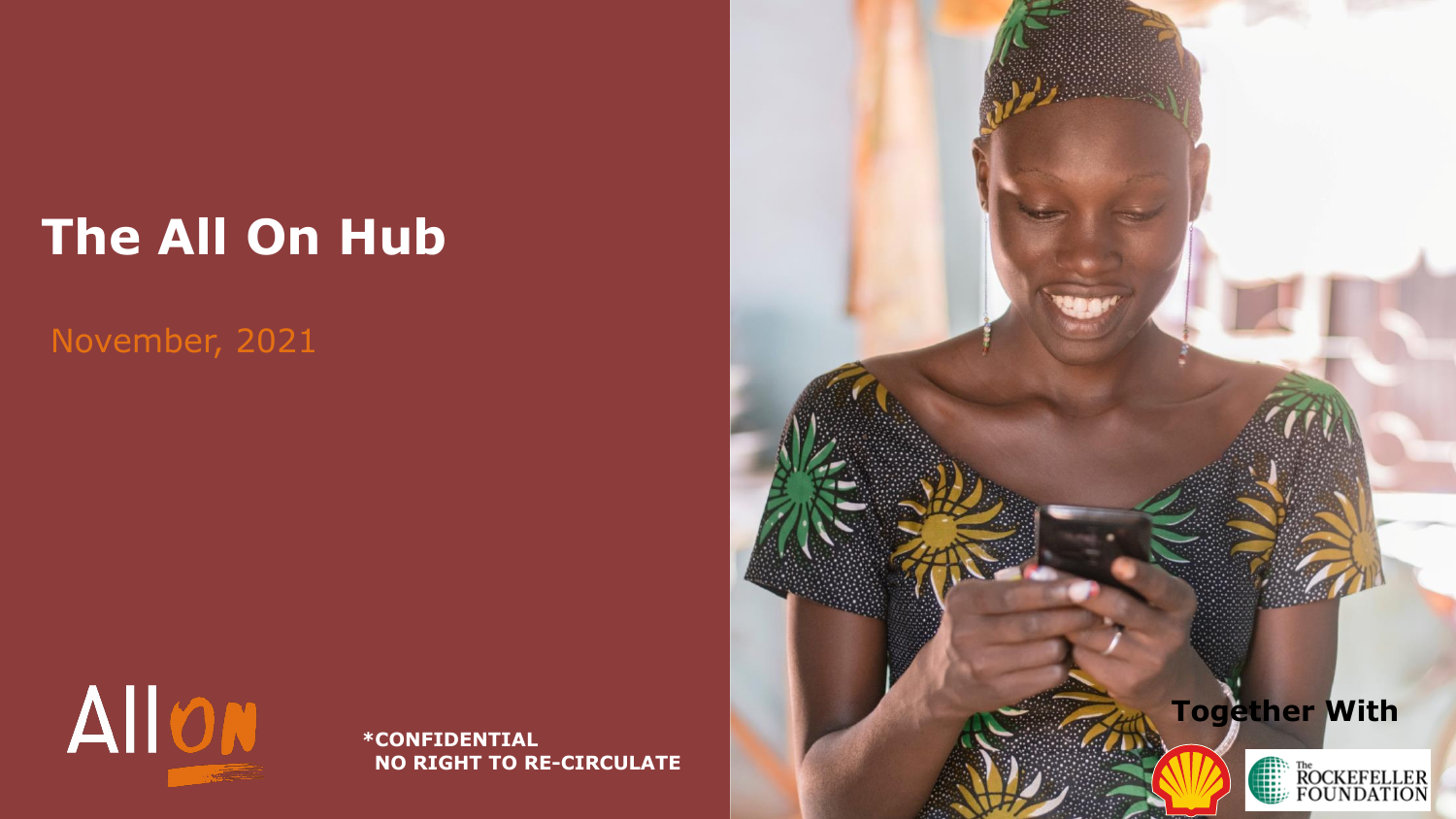## **The All On Hub**

## November, 2021



**\*CONFIDENTIAL NO RIGHT TO RE-CIRCULATE**

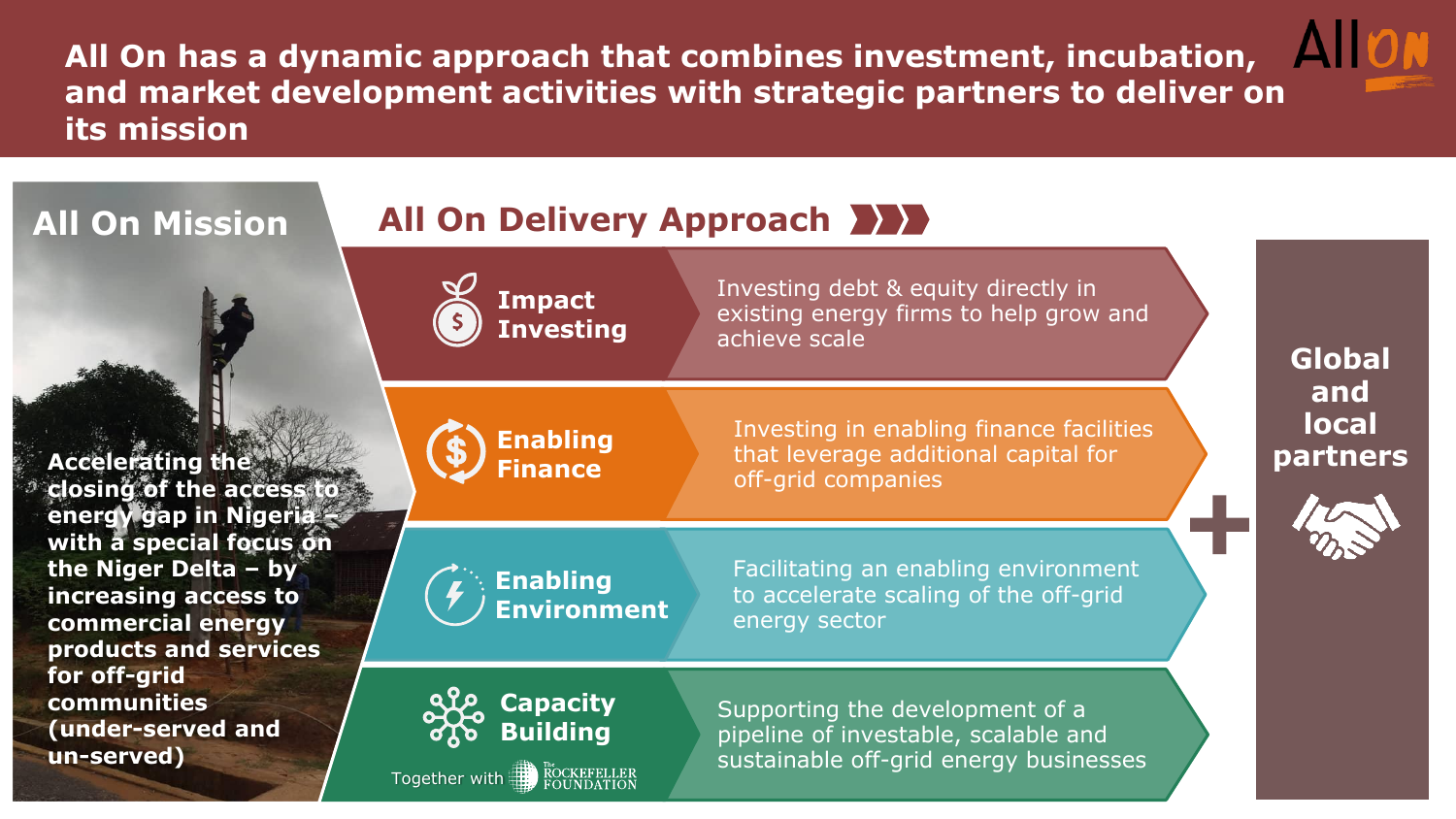**All On has a dynamic approach that combines investment, incubation, All ON and market development activities with strategic partners to deliver on its mission**

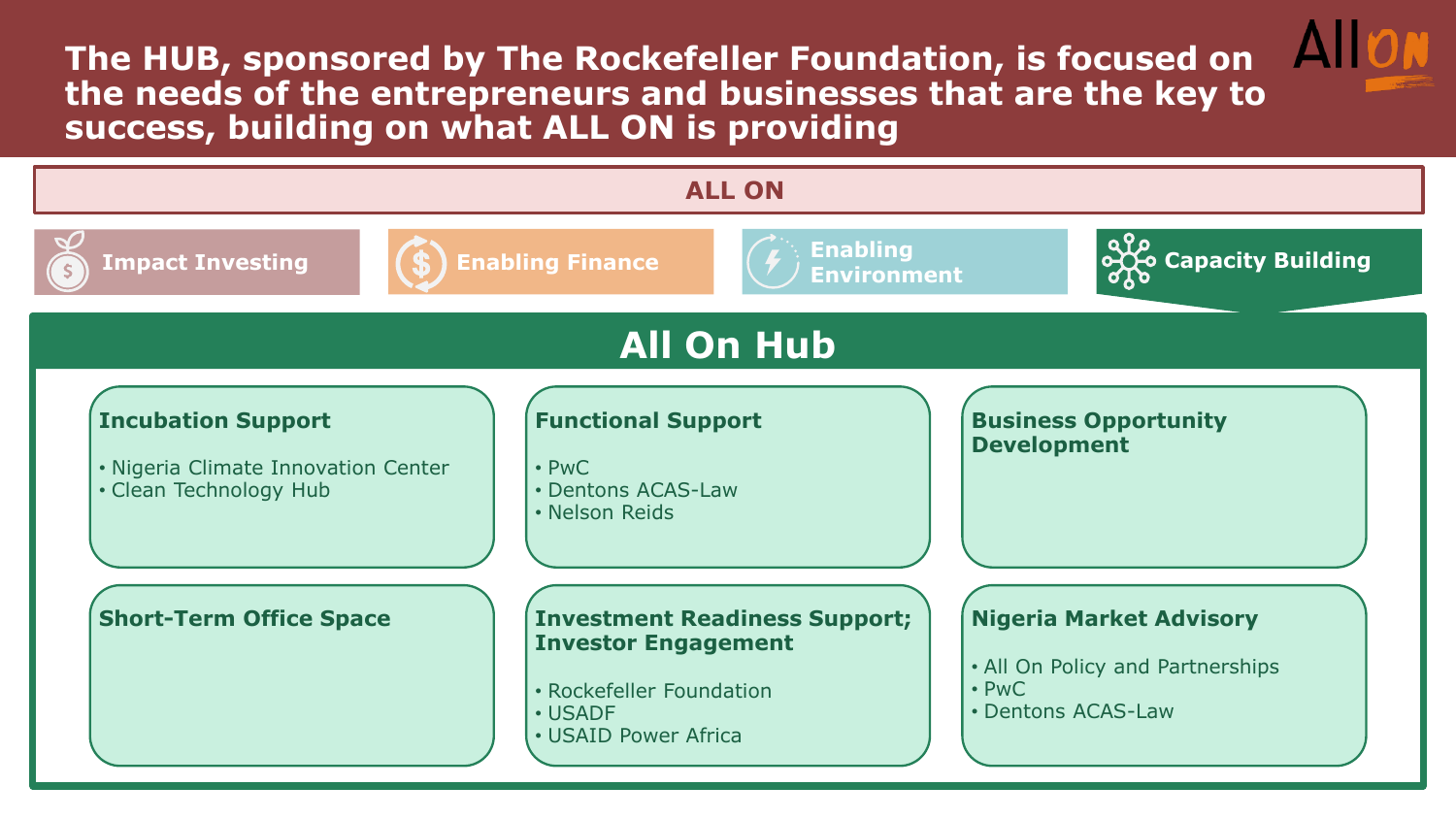**The HUB, sponsored by The Rockefeller Foundation, is focused on the needs of the entrepreneurs and businesses that are the key to success, building on what ALL ON is providing** 

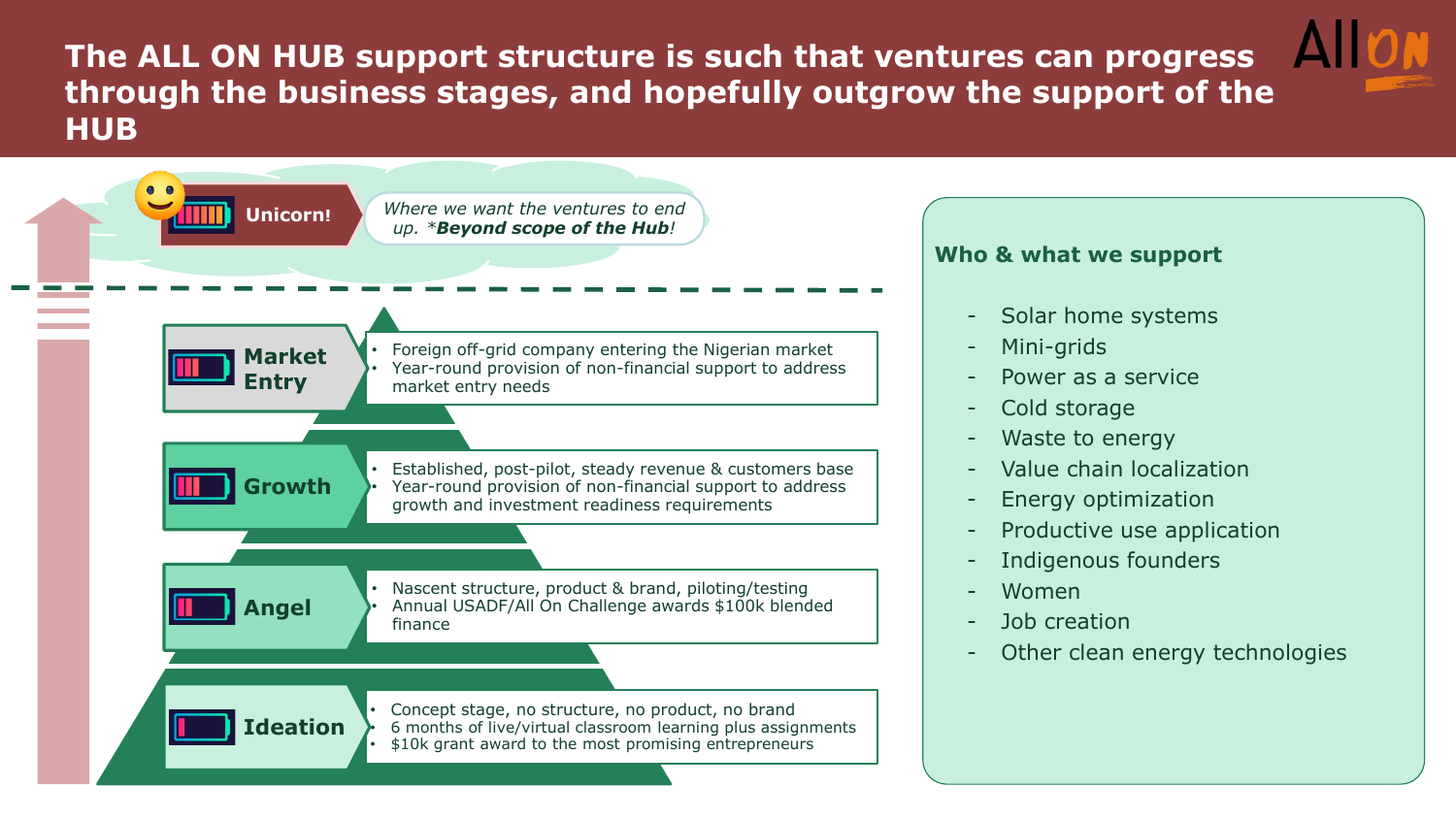**The ALL ON HUB support structure is such that ventures can progress through the business stages, and hopefully outgrow the support of the HUB**



## **Who & what we support**

- Solar home systems
- Mini-grids
- Power as a service
- Cold storage
- Waste to energy
- Value chain localization
- Energy optimization
- Productive use application
- Indigenous founders
- Women
- Job creation
- Other clean energy technologies